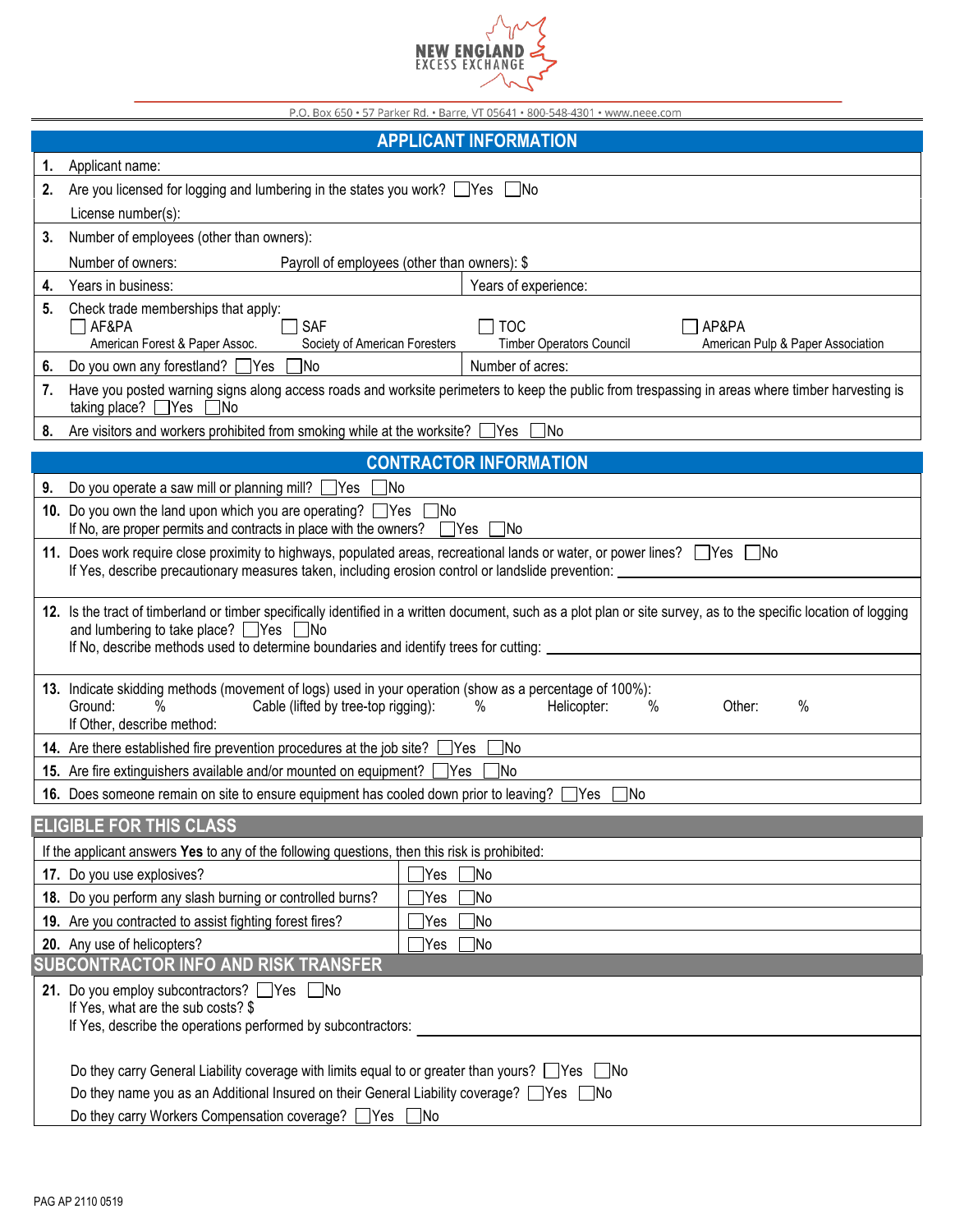

| P.O. Box 650 · 57 Parker Rd. · Barre, VT 05641 · 800-548-4301 · www.neee.com                  |                                                                                                                                                                                                                                                                                                       |                                                                                             |  |
|-----------------------------------------------------------------------------------------------|-------------------------------------------------------------------------------------------------------------------------------------------------------------------------------------------------------------------------------------------------------------------------------------------------------|---------------------------------------------------------------------------------------------|--|
| <b>APPLICANT INFORMATION</b>                                                                  |                                                                                                                                                                                                                                                                                                       |                                                                                             |  |
| 1.                                                                                            | Applicant name:                                                                                                                                                                                                                                                                                       |                                                                                             |  |
| 2.                                                                                            | Are you licensed for logging and lumbering in the states you work? $\Box$ Yes $\Box$ No                                                                                                                                                                                                               |                                                                                             |  |
|                                                                                               | License number(s):                                                                                                                                                                                                                                                                                    |                                                                                             |  |
| 3.                                                                                            | Number of employees (other than owners):                                                                                                                                                                                                                                                              |                                                                                             |  |
|                                                                                               | Number of owners:<br>Payroll of employees (other than owners): \$                                                                                                                                                                                                                                     |                                                                                             |  |
| 4.                                                                                            | Years in business:                                                                                                                                                                                                                                                                                    | Years of experience:                                                                        |  |
| 5.                                                                                            | Check trade memberships that apply:<br>AF&PA<br><b>SAF</b><br>American Forest & Paper Assoc.<br>Society of American Foresters                                                                                                                                                                         | <b>TOC</b><br>AP&PA<br><b>Timber Operators Council</b><br>American Pulp & Paper Association |  |
| 6.                                                                                            | ไNo<br>Do you own any forestland? Yes                                                                                                                                                                                                                                                                 | Number of acres:                                                                            |  |
| 7.                                                                                            | Have you posted warning signs along access roads and worksite perimeters to keep the public from trespassing in areas where timber harvesting is<br>taking place? $\Box$ Yes $\Box$ No                                                                                                                |                                                                                             |  |
| 8.                                                                                            | Are visitors and workers prohibited from smoking while at the worksite? □ Yes □ No                                                                                                                                                                                                                    |                                                                                             |  |
| <b>CONTRACTOR INFORMATION</b>                                                                 |                                                                                                                                                                                                                                                                                                       |                                                                                             |  |
| 9.                                                                                            | Do you operate a saw mill or planning mill? $\Box$ Yes [<br>INo.                                                                                                                                                                                                                                      |                                                                                             |  |
|                                                                                               | 10. Do you own the land upon which you are operating? Yes No                                                                                                                                                                                                                                          |                                                                                             |  |
|                                                                                               | If No, are proper permits and contracts in place with the owners?<br>  Yes<br><b>INo</b>                                                                                                                                                                                                              |                                                                                             |  |
|                                                                                               | 11. Does work require close proximity to highways, populated areas, recreational lands or water, or power lines? Ves no<br>If Yes, describe precautionary measures taken, including erosion control or landslide prevention:                                                                          |                                                                                             |  |
|                                                                                               | 12. Is the tract of timberland or timber specifically identified in a written document, such as a plot plan or site survey, as to the specific location of logging<br>and lumbering to take place? ■ Yes ■ No<br>If No, describe methods used to determine boundaries and identify trees for cutting: |                                                                                             |  |
|                                                                                               | 13. Indicate skidding methods (movement of logs) used in your operation (show as a percentage of 100%):<br>$\overline{\frac{9}{6}}$<br>Ground:<br>$\%$<br>$\%$<br>Cable (lifted by tree-top rigging):<br>Helicopter:<br>Other:<br>%<br>If Other, describe method:                                     |                                                                                             |  |
|                                                                                               | 14. Are there established fire prevention procedures at the job site?<br>No]<br>Yes                                                                                                                                                                                                                   |                                                                                             |  |
|                                                                                               | 15. Are fire extinguishers available and/or mounted on equipment?<br><b>Yes</b><br><b>No</b>                                                                                                                                                                                                          |                                                                                             |  |
|                                                                                               | 16. Does someone remain on site to ensure equipment has cooled down prior to leaving? TYes<br><u>]No</u>                                                                                                                                                                                              |                                                                                             |  |
| <b>ELIGIBLE FOR THIS CLASS</b>                                                                |                                                                                                                                                                                                                                                                                                       |                                                                                             |  |
| If the applicant answers Yes to any of the following questions, then this risk is prohibited: |                                                                                                                                                                                                                                                                                                       |                                                                                             |  |
|                                                                                               | 17. Do you use explosives?<br>Yes]                                                                                                                                                                                                                                                                    | ∃No                                                                                         |  |
|                                                                                               | 18. Do you perform any slash burning or controlled burns?<br>Yes                                                                                                                                                                                                                                      | 7No                                                                                         |  |
|                                                                                               | 19. Are you contracted to assist fighting forest fires?<br>∃No<br>Yes                                                                                                                                                                                                                                 |                                                                                             |  |
|                                                                                               | 20. Any use of helicopters?<br>$\sqrt{\ }$ Yes                                                                                                                                                                                                                                                        | $\exists$ No                                                                                |  |
| SUBCONTRACTOR INFO AND RISK TRANSFER                                                          |                                                                                                                                                                                                                                                                                                       |                                                                                             |  |
|                                                                                               | 21. Do you employ subcontractors? Ves No<br>If Yes, what are the sub costs? \$<br>If Yes, describe the operations performed by subcontractors:                                                                                                                                                        |                                                                                             |  |
|                                                                                               | Do they carry General Liability coverage with limits equal to or greater than yours? □ Yes □ No<br>Do they name you as an Additional Insured on their General Liability coverage? □ Yes □ No<br>Do they carry Workers Compensation coverage? △Yes △No                                                 |                                                                                             |  |